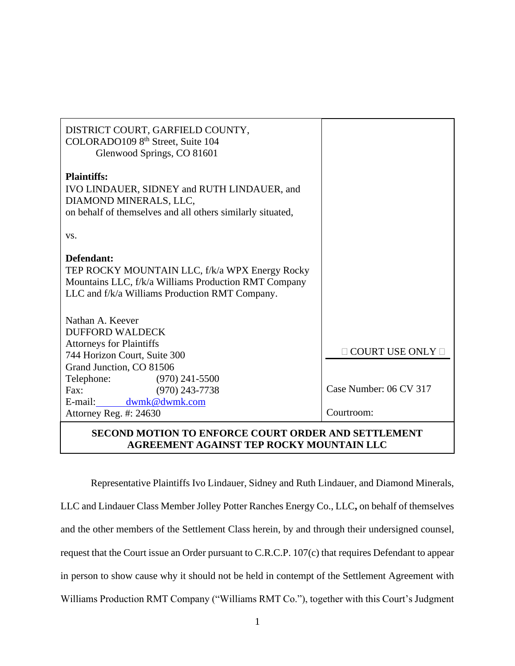| DISTRICT COURT, GARFIELD COUNTY,<br>COLORADO109 8 <sup>th</sup> Street, Suite 104<br>Glenwood Springs, CO 81601                                                             |                              |
|-----------------------------------------------------------------------------------------------------------------------------------------------------------------------------|------------------------------|
| <b>Plaintiffs:</b><br>IVO LINDAUER, SIDNEY and RUTH LINDAUER, and<br>DIAMOND MINERALS, LLC,<br>on behalf of themselves and all others similarly situated,                   |                              |
| VS.                                                                                                                                                                         |                              |
| Defendant:<br>TEP ROCKY MOUNTAIN LLC, f/k/a WPX Energy Rocky<br>Mountains LLC, f/k/a Williams Production RMT Company<br>LLC and f/k/a Williams Production RMT Company.      |                              |
| Nathan A. Keever<br><b>DUFFORD WALDECK</b><br><b>Attorneys for Plaintiffs</b><br>744 Horizon Court, Suite 300<br>Grand Junction, CO 81506<br>Telephone:<br>$(970)$ 241-5500 | $\Box$ COURT USE ONLY $\Box$ |
| Fax:<br>$(970)$ 243-7738                                                                                                                                                    | Case Number: 06 CV 317       |
| E-mail: dwmk@dwmk.com                                                                                                                                                       | Courtroom:                   |
| Attorney Reg. #: 24630                                                                                                                                                      |                              |

## **SECOND MOTION TO ENFORCE COURT ORDER AND SETTLEMENT AGREEMENT AGAINST TEP ROCKY MOUNTAIN LLC**

Representative Plaintiffs Ivo Lindauer, Sidney and Ruth Lindauer, and Diamond Minerals, LLC and Lindauer Class Member Jolley Potter Ranches Energy Co., LLC**,** on behalf of themselves and the other members of the Settlement Class herein, by and through their undersigned counsel, request that the Court issue an Order pursuant to C.R.C.P. 107(c) that requires Defendant to appear in person to show cause why it should not be held in contempt of the Settlement Agreement with Williams Production RMT Company ("Williams RMT Co."), together with this Court's Judgment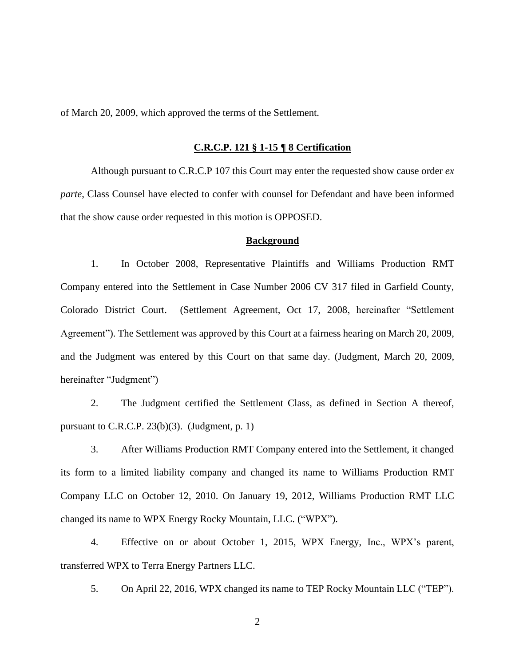of March 20, 2009, which approved the terms of the Settlement.

## **C.R.C.P. 121 § 1-15 ¶ 8 Certification**

Although pursuant to C.R.C.P 107 this Court may enter the requested show cause order *ex parte*, Class Counsel have elected to confer with counsel for Defendant and have been informed that the show cause order requested in this motion is OPPOSED.

## **Background**

1. In October 2008, Representative Plaintiffs and Williams Production RMT Company entered into the Settlement in Case Number 2006 CV 317 filed in Garfield County, Colorado District Court. (Settlement Agreement, Oct 17, 2008, hereinafter "Settlement Agreement"). The Settlement was approved by this Court at a fairness hearing on March 20, 2009, and the Judgment was entered by this Court on that same day. (Judgment, March 20, 2009, hereinafter "Judgment")

2. The Judgment certified the Settlement Class, as defined in Section A thereof, pursuant to C.R.C.P. 23(b)(3). (Judgment, p. 1)

3. After Williams Production RMT Company entered into the Settlement, it changed its form to a limited liability company and changed its name to Williams Production RMT Company LLC on October 12, 2010. On January 19, 2012, Williams Production RMT LLC changed its name to WPX Energy Rocky Mountain, LLC. ("WPX").

4. Effective on or about October 1, 2015, WPX Energy, Inc., WPX's parent, transferred WPX to Terra Energy Partners LLC.

5. On April 22, 2016, WPX changed its name to TEP Rocky Mountain LLC ("TEP").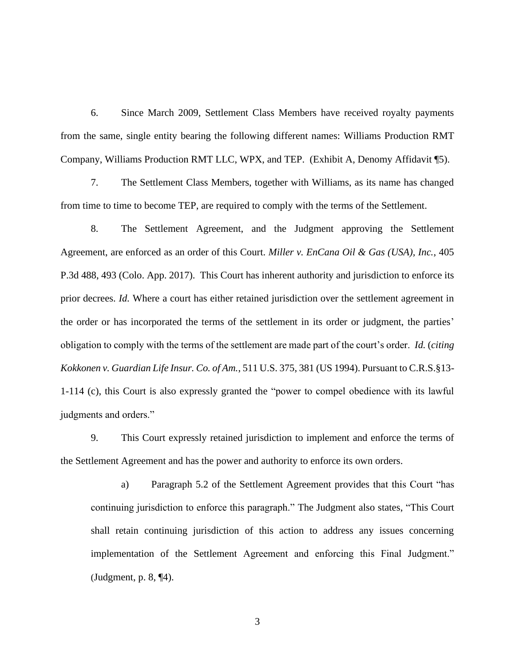6. Since March 2009, Settlement Class Members have received royalty payments from the same, single entity bearing the following different names: Williams Production RMT Company, Williams Production RMT LLC, WPX, and TEP. (Exhibit A, Denomy Affidavit ¶5).

7. The Settlement Class Members, together with Williams, as its name has changed from time to time to become TEP, are required to comply with the terms of the Settlement.

8. The Settlement Agreement, and the Judgment approving the Settlement Agreement, are enforced as an order of this Court. *Miller v. EnCana Oil & Gas (USA), Inc.*, 405 P.3d 488, 493 (Colo. App. 2017). This Court has inherent authority and jurisdiction to enforce its prior decrees. *Id.* Where a court has either retained jurisdiction over the settlement agreement in the order or has incorporated the terms of the settlement in its order or judgment, the parties' obligation to comply with the terms of the settlement are made part of the court's order. *Id.* (*citing Kokkonen v. Guardian Life Insur. Co. of Am.*, 511 U.S. 375, 381 (US 1994). Pursuant to C.R.S.§13- 1-114 (c), this Court is also expressly granted the "power to compel obedience with its lawful judgments and orders."

9. This Court expressly retained jurisdiction to implement and enforce the terms of the Settlement Agreement and has the power and authority to enforce its own orders.

a) Paragraph 5.2 of the Settlement Agreement provides that this Court "has continuing jurisdiction to enforce this paragraph." The Judgment also states, "This Court shall retain continuing jurisdiction of this action to address any issues concerning implementation of the Settlement Agreement and enforcing this Final Judgment." (Judgment, p. 8, ¶4).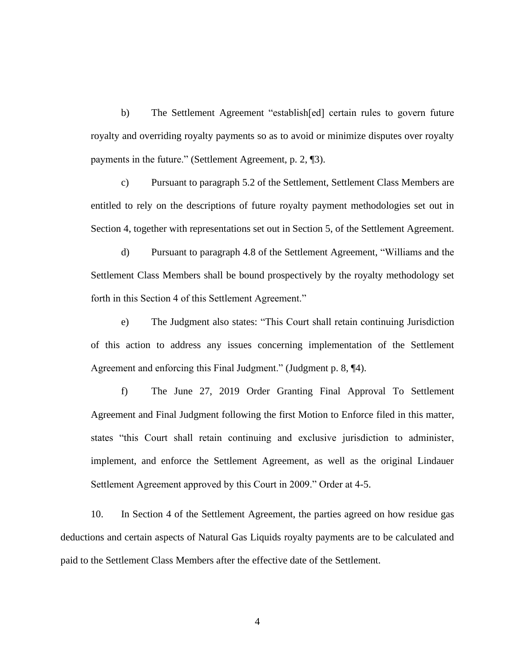b) The Settlement Agreement "establish[ed] certain rules to govern future royalty and overriding royalty payments so as to avoid or minimize disputes over royalty payments in the future." (Settlement Agreement, p. 2, ¶3).

c) Pursuant to paragraph 5.2 of the Settlement, Settlement Class Members are entitled to rely on the descriptions of future royalty payment methodologies set out in Section 4, together with representations set out in Section 5, of the Settlement Agreement.

d) Pursuant to paragraph 4.8 of the Settlement Agreement, "Williams and the Settlement Class Members shall be bound prospectively by the royalty methodology set forth in this Section 4 of this Settlement Agreement."

e) The Judgment also states: "This Court shall retain continuing Jurisdiction of this action to address any issues concerning implementation of the Settlement Agreement and enforcing this Final Judgment." (Judgment p. 8, ¶4).

f) The June 27, 2019 Order Granting Final Approval To Settlement Agreement and Final Judgment following the first Motion to Enforce filed in this matter, states "this Court shall retain continuing and exclusive jurisdiction to administer, implement, and enforce the Settlement Agreement, as well as the original Lindauer Settlement Agreement approved by this Court in 2009." Order at 4-5.

10. In Section 4 of the Settlement Agreement, the parties agreed on how residue gas deductions and certain aspects of Natural Gas Liquids royalty payments are to be calculated and paid to the Settlement Class Members after the effective date of the Settlement.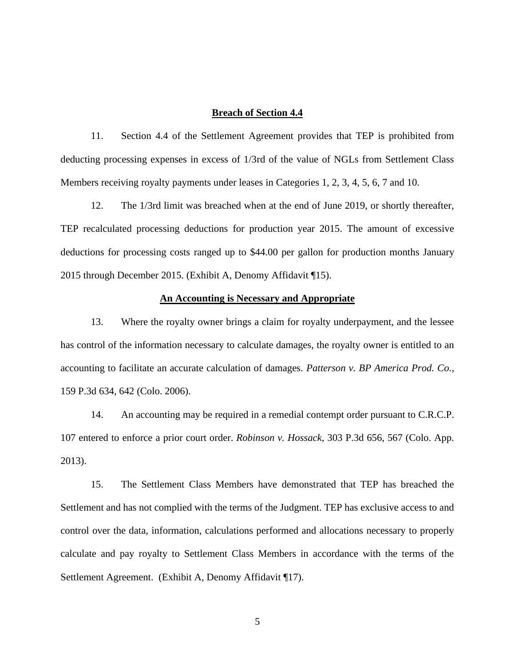### **Breach of Section 4.4**

11. Section 4.4 of the Settlement Agreement provides that TEP is prohibited from deducting processing expenses in excess of 1/3rd of the value of NGLs from Settlement Class Members receiving royalty payments under leases in Categories 1, 2, 3, 4, 5, 6, 7 and 10.

12. The 1/3rd limit was breached when at the end of June 2019, or shortly thereafter, TEP recalculated processing deductions for production year 2015. The amount of excessive deductions for processing costs ranged up to \$44.00 per gallon for production months January 2015 through December 2015. (Exhibit A, Denomy Affidavit ¶15).

### **An Accounting is Necessary and Appropriate**

13. Where the royalty owner brings a claim for royalty underpayment, and the lessee has control of the information necessary to calculate damages, the royalty owner is entitled to an accounting to facilitate an accurate calculation of damages. *Patterson v. BP America Prod. Co.*, 159 P.3d 634, 642 (Colo. 2006).

14. An accounting may be required in a remedial contempt order pursuant to C.R.C.P. 107 entered to enforce a prior court order. *Robinson v. Hossack*, 303 P.3d 656, 567 (Colo. App. 2013).

15. The Settlement Class Members have demonstrated that TEP has breached the Settlement and has not complied with the terms of the Judgment. TEP has exclusive access to and control over the data, information, calculations performed and allocations necessary to properly calculate and pay royalty to Settlement Class Members in accordance with the terms of the Settlement Agreement. (Exhibit A, Denomy Affidavit ¶17).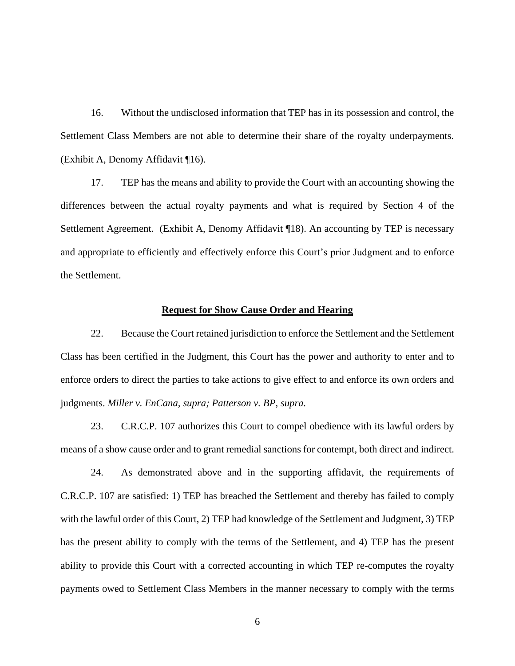16. Without the undisclosed information that TEP has in its possession and control, the Settlement Class Members are not able to determine their share of the royalty underpayments. (Exhibit A, Denomy Affidavit ¶16).

17. TEP has the means and ability to provide the Court with an accounting showing the differences between the actual royalty payments and what is required by Section 4 of the Settlement Agreement. (Exhibit A, Denomy Affidavit ¶18). An accounting by TEP is necessary and appropriate to efficiently and effectively enforce this Court's prior Judgment and to enforce the Settlement.

#### **Request for Show Cause Order and Hearing**

22. Because the Court retained jurisdiction to enforce the Settlement and the Settlement Class has been certified in the Judgment, this Court has the power and authority to enter and to enforce orders to direct the parties to take actions to give effect to and enforce its own orders and judgments. *Miller v. EnCana, supra; Patterson v. BP, supra.*

23. C.R.C.P. 107 authorizes this Court to compel obedience with its lawful orders by means of a show cause order and to grant remedial sanctions for contempt, both direct and indirect.

24. As demonstrated above and in the supporting affidavit, the requirements of C.R.C.P. 107 are satisfied: 1) TEP has breached the Settlement and thereby has failed to comply with the lawful order of this Court, 2) TEP had knowledge of the Settlement and Judgment, 3) TEP has the present ability to comply with the terms of the Settlement, and 4) TEP has the present ability to provide this Court with a corrected accounting in which TEP re-computes the royalty payments owed to Settlement Class Members in the manner necessary to comply with the terms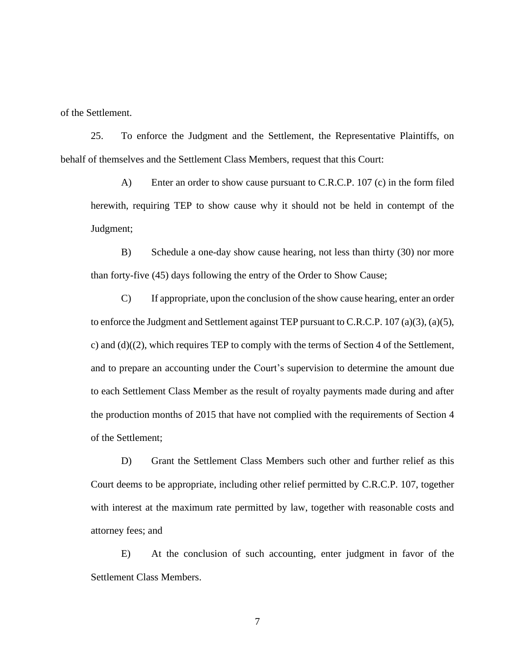of the Settlement.

25. To enforce the Judgment and the Settlement, the Representative Plaintiffs, on behalf of themselves and the Settlement Class Members, request that this Court:

A) Enter an order to show cause pursuant to C.R.C.P. 107 (c) in the form filed herewith, requiring TEP to show cause why it should not be held in contempt of the Judgment;

B) Schedule a one-day show cause hearing, not less than thirty (30) nor more than forty-five (45) days following the entry of the Order to Show Cause;

C) If appropriate, upon the conclusion of the show cause hearing, enter an order to enforce the Judgment and Settlement against TEP pursuant to C.R.C.P.  $107$  (a)(3), (a)(5), c) and (d)((2), which requires TEP to comply with the terms of Section 4 of the Settlement, and to prepare an accounting under the Court's supervision to determine the amount due to each Settlement Class Member as the result of royalty payments made during and after the production months of 2015 that have not complied with the requirements of Section 4 of the Settlement;

D) Grant the Settlement Class Members such other and further relief as this Court deems to be appropriate, including other relief permitted by C.R.C.P. 107, together with interest at the maximum rate permitted by law, together with reasonable costs and attorney fees; and

E) At the conclusion of such accounting, enter judgment in favor of the Settlement Class Members.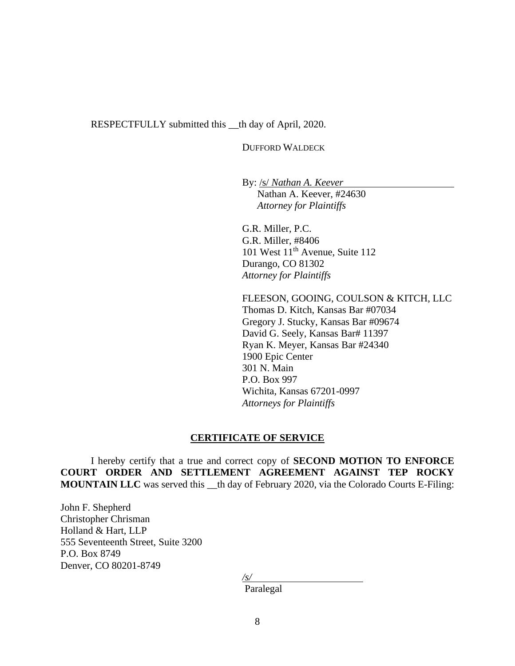RESPECTFULLY submitted this \_\_th day of April, 2020.

DUFFORD WALDECK

By: /s/ *Nathan A. Keever* Nathan A. Keever, #24630  *Attorney for Plaintiffs*

G.R. Miller, P.C. G.R. Miller, #8406 101 West  $11<sup>th</sup>$  Avenue, Suite 112 Durango, CO 81302 *Attorney for Plaintiffs*

FLEESON, GOOING, COULSON & KITCH, LLC Thomas D. Kitch, Kansas Bar #07034 Gregory J. Stucky, Kansas Bar #09674 David G. Seely, Kansas Bar# 11397 Ryan K. Meyer, Kansas Bar #24340 1900 Epic Center 301 N. Main P.O. Box 997 Wichita, Kansas 67201-0997 *Attorneys for Plaintiffs*

### **CERTIFICATE OF SERVICE**

I hereby certify that a true and correct copy of **SECOND MOTION TO ENFORCE COURT ORDER AND SETTLEMENT AGREEMENT AGAINST TEP ROCKY MOUNTAIN LLC** was served this \_\_th day of February 2020, via the Colorado Courts E-Filing:

John F. Shepherd Christopher Chrisman Holland & Hart, LLP 555 Seventeenth Street, Suite 3200 P.O. Box 8749 Denver, CO 80201-8749

Paralegal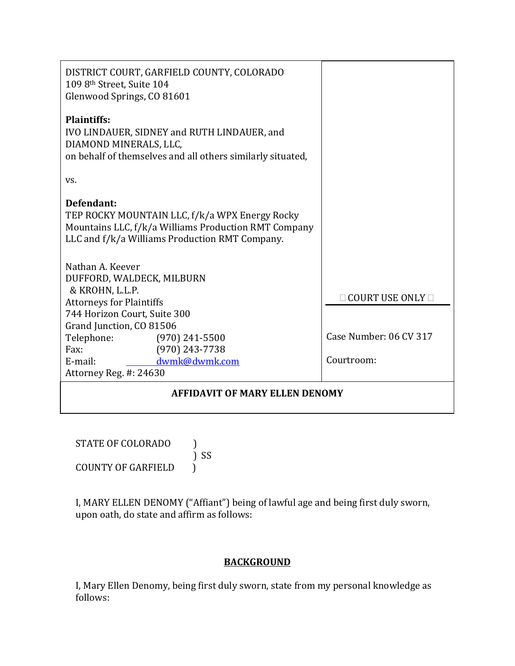| DISTRICT COURT, GARFIELD COUNTY, COLORADO<br>109 8th Street, Suite 104<br>Glenwood Springs, CO 81601                                                                   |                                   |                        |  |  |  |  |
|------------------------------------------------------------------------------------------------------------------------------------------------------------------------|-----------------------------------|------------------------|--|--|--|--|
| <b>Plaintiffs:</b><br>IVO LINDAUER, SIDNEY and RUTH LINDAUER, and<br>DIAMOND MINERALS, LLC,<br>on behalf of themselves and all others similarly situated,              |                                   |                        |  |  |  |  |
| VS.                                                                                                                                                                    |                                   |                        |  |  |  |  |
| Defendant:<br>TEP ROCKY MOUNTAIN LLC, f/k/a WPX Energy Rocky<br>Mountains LLC, f/k/a Williams Production RMT Company<br>LLC and f/k/a Williams Production RMT Company. |                                   |                        |  |  |  |  |
| Nathan A. Keever<br>DUFFORD, WALDECK, MILBURN<br>& KROHN, L.L.P.<br><b>Attorneys for Plaintiffs</b><br>744 Horizon Court, Suite 300                                    | COURT USE ONLY $\square$          |                        |  |  |  |  |
| Grand Junction, CO 81506<br>Telephone:                                                                                                                                 | $(970)$ 241-5500                  | Case Number: 06 CV 317 |  |  |  |  |
| Fax:<br>E-mail:                                                                                                                                                        | $(970)$ 243-7738<br>dwmk@dwmk.com | Courtroom:             |  |  |  |  |
| Attorney Reg. #: 24630                                                                                                                                                 |                                   |                        |  |  |  |  |
| <b>AFFIDAVIT OF MARY ELLEN DENOMY</b>                                                                                                                                  |                                   |                        |  |  |  |  |

STATE OF COLORADO )  $\tilde{)}$  SS COUNTY OF GARFIELD )

I, MARY ELLEN DENOMY ("Affiant") being of lawful age and being first duly sworn, upon oath, do state and affirm as follows:

# **BACKGROUND**

I, Mary Ellen Denomy, being first duly sworn, state from my personal knowledge as follows: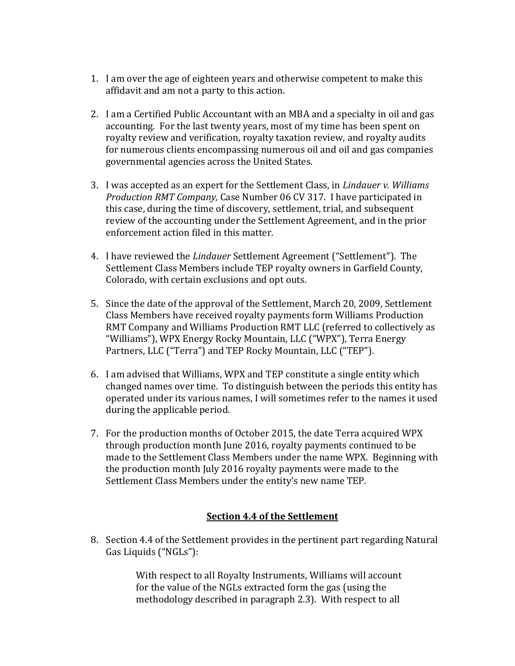- 1. I am over the age of eighteen years and otherwise competent to make this affidavit and am not a party to this action.
- 2. I am a Certified Public Accountant with an MBA and a specialty in oil and gas accounting. For the last twenty years, most of my time has been spent on royalty review and verification, royalty taxation review, and royalty audits for numerous clients encompassing numerous oil and oil and gas companies governmental agencies across the United States.
- 3. I was accepted as an expert for the Settlement Class, in *Lindauer v. Williams Production RMT Company,* Case Number 06 CV 317. I have participated in this case, during the time of discovery, settlement, trial, and subsequent review of the accounting under the Settlement Agreement, and in the prior enforcement action filed in this matter.
- 4. I have reviewed the *Lindauer* Settlement Agreement ("Settlement"). The Settlement Class Members include TEP royalty owners in Garfield County, Colorado, with certain exclusions and opt outs.
- 5. Since the date of the approval of the Settlement, March 20, 2009, Settlement Class Members have received royalty payments form Williams Production RMT Company and Williams Production RMT LLC (referred to collectively as "Williams"), WPX Energy Rocky Mountain, LLC ("WPX"), Terra Energy Partners, LLC ("Terra") and TEP Rocky Mountain, LLC ("TEP").
- 6. I am advised that Williams, WPX and TEP constitute a single entity which changed names over time. To distinguish between the periods this entity has operated under its various names, I will sometimes refer to the names it used during the applicable period.
- 7. For the production months of October 2015, the date Terra acquired WPX through production month June 2016, royalty payments continued to be made to the Settlement Class Members under the name WPX. Beginning with the production month July 2016 royalty payments were made to the Settlement Class Members under the entity's new name TEP.

## **Section 4.4 of the Settlement**

8. Section 4.4 of the Settlement provides in the pertinent part regarding Natural Gas Liquids ("NGLs"):

> With respect to all Royalty Instruments, Williams will account for the value of the NGLs extracted form the gas (using the methodology described in paragraph 2.3). With respect to all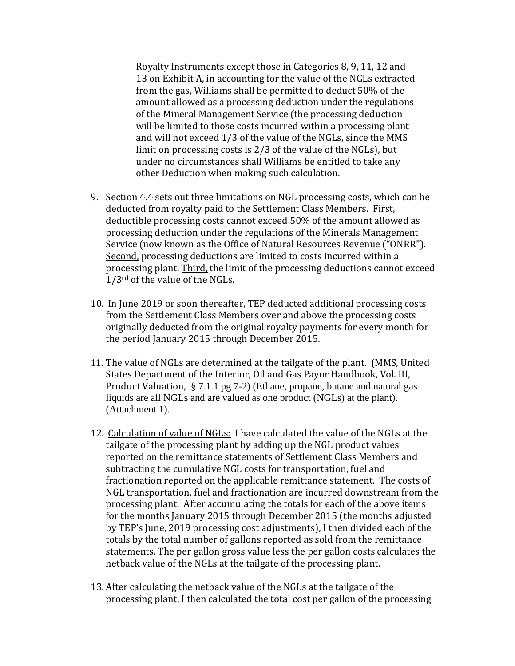Royalty Instruments except those in Categories 8, 9, 11, 12 and 13 on Exhibit A, in accounting for the value of the NGLs extracted from the gas, Williams shall be permitted to deduct 50% of the amount allowed as a processing deduction under the regulations of the Mineral Management Service (the processing deduction will be limited to those costs incurred within a processing plant and will not exceed 1/3 of the value of the NGLs, since the MMS limit on processing costs is 2/3 of the value of the NGLs), but under no circumstances shall Williams be entitled to take any other Deduction when making such calculation.

- 9. Section 4.4 sets out three limitations on NGL processing costs, which can be deducted from royalty paid to the Settlement Class Members. First, deductible processing costs cannot exceed 50% of the amount allowed as processing deduction under the regulations of the Minerals Management Service (now known as the Office of Natural Resources Revenue ("ONRR"). Second, processing deductions are limited to costs incurred within a processing plant. Third, the limit of the processing deductions cannot exceed 1/3rd of the value of the NGLs.
- 10. In June 2019 or soon thereafter, TEP deducted additional processing costs from the Settlement Class Members over and above the processing costs originally deducted from the original royalty payments for every month for the period January 2015 through December 2015.
- 11. The value of NGLs are determined at the tailgate of the plant. (MMS, United States Department of the Interior, Oil and Gas Payor Handbook, Vol. III, Product Valuation, § 7.1.1 pg 7-2) (Ethane, propane, butane and natural gas liquids are all NGLs and are valued as one product (NGLs) at the plant). (Attachment 1).
- 12. Calculation of value of NGLs: I have calculated the value of the NGLs at the tailgate of the processing plant by adding up the NGL product values reported on the remittance statements of Settlement Class Members and subtracting the cumulative NGL costs for transportation, fuel and fractionation reported on the applicable remittance statement. The costs of NGL transportation, fuel and fractionation are incurred downstream from the processing plant. After accumulating the totals for each of the above items for the months January 2015 through December 2015 (the months adjusted by TEP's June, 2019 processing cost adjustments), I then divided each of the totals by the total number of gallons reported as sold from the remittance statements. The per gallon gross value less the per gallon costs calculates the netback value of the NGLs at the tailgate of the processing plant.
- 13. After calculating the netback value of the NGLs at the tailgate of the processing plant, I then calculated the total cost per gallon of the processing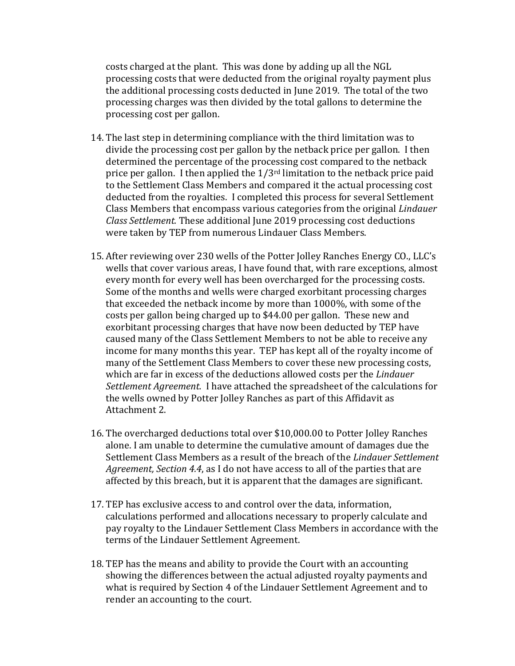costs charged at the plant. This was done by adding up all the NGL processing costs that were deducted from the original royalty payment plus the additional processing costs deducted in June 2019. The total of the two processing charges was then divided by the total gallons to determine the processing cost per gallon.

- 14. The last step in determining compliance with the third limitation was to divide the processing cost per gallon by the netback price per gallon. I then determined the percentage of the processing cost compared to the netback price per gallon. I then applied the 1/3rd limitation to the netback price paid to the Settlement Class Members and compared it the actual processing cost deducted from the royalties. I completed this process for several Settlement Class Members that encompass various categories from the original *Lindauer Class Settlement.* These additional June 2019 processing cost deductions were taken by TEP from numerous Lindauer Class Members.
- 15. After reviewing over 230 wells of the Potter Jolley Ranches Energy CO., LLC's wells that cover various areas, I have found that, with rare exceptions, almost every month for every well has been overcharged for the processing costs. Some of the months and wells were charged exorbitant processing charges that exceeded the netback income by more than 1000%, with some of the costs per gallon being charged up to \$44.00 per gallon. These new and exorbitant processing charges that have now been deducted by TEP have caused many of the Class Settlement Members to not be able to receive any income for many months this year. TEP has kept all of the royalty income of many of the Settlement Class Members to cover these new processing costs, which are far in excess of the deductions allowed costs per the *Lindauer Settlement Agreement.* I have attached the spreadsheet of the calculations for the wells owned by Potter Jolley Ranches as part of this Affidavit as Attachment 2.
- 16. The overcharged deductions total over \$10,000.00 to Potter Jolley Ranches alone. I am unable to determine the cumulative amount of damages due the Settlement Class Members as a result of the breach of the *Lindauer Settlement Agreement, Section 4.4*, as I do not have access to all of the parties that are affected by this breach, but it is apparent that the damages are significant.
- 17. TEP has exclusive access to and control over the data, information, calculations performed and allocations necessary to properly calculate and pay royalty to the Lindauer Settlement Class Members in accordance with the terms of the Lindauer Settlement Agreement.
- 18. TEP has the means and ability to provide the Court with an accounting showing the differences between the actual adjusted royalty payments and what is required by Section 4 of the Lindauer Settlement Agreement and to render an accounting to the court.